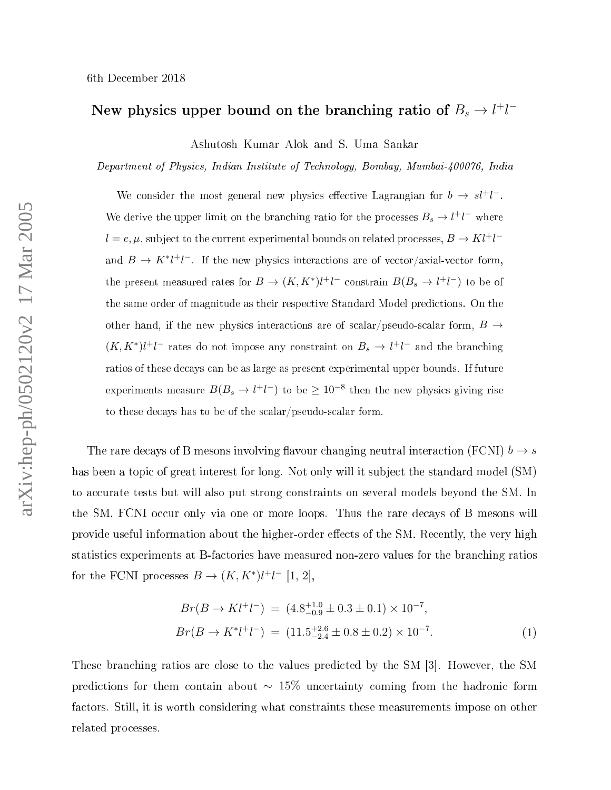## New physics upper bound on the branching ratio of  $B_s\to l^+l^-$

Ashutosh Kumar Alok and S. Uma Sankar

Department of Physi
s, Indian Institute of Te
hnology, Bombay, Mumbai-400076, India

We consider the most general new physics effective Lagrangian for  $b \to s l^+ l^-$ . We derive the upper limit on the branching ratio for the processes  $B_s \to l^+l^-$  where  $l = e, \mu$ , subject to the current experimental bounds on related processes,  $B \to K l^+ l^$ and  $B \to K^* l^+ l^-$ . If the new physics interactions are of vector/axial-vector form, the present measured rates for  $B \to (K, K^*)l^+l^-$  constrain  $B(B_s \to l^+l^-)$  to be of the same order of magnitude as their respe
tive Standard Model predi
tions. On the other hand, if the new physics interactions are of scalar/pseudo-scalar form,  $B\to$  $(K, K^*)l^+l^-$  rates do not impose any constraint on  $B_s \to l^+l^-$  and the branching ratios of these de
ays an be as large as present experimental upper bounds. If future experiments measure  $B(B_s \to l^+l^-)$  to be  $\geq 10^{-8}$  then the new physics giving rise to these decays has to be of the scalar/pseudo-scalar form.

The rare decays of B mesons involving flavour changing neutral interaction (FCNI)  $b \to s$ has been a topi of great interest for long. Not only will it subje
t the standard model (SM) to accurate tests but will also put strong constraints on several models beyond the SM. In the Society of the Society of the rare definition of the rare design the rare described the rare design the rare  $\alpha$ provide useful information about the higher-order effects of the SM. Recently, the very high statistics experiments at B-factories have measured non-zero values for the branching ratios for the FCNI processes  $B \to (K, K^*)l^+l^-$  [1, 2],

$$
Br(B \to K l^+ l^-) = (4.8^{+1.0}_{-0.9} \pm 0.3 \pm 0.1) \times 10^{-7},
$$
  
\n
$$
Br(B \to K^* l^+ l^-) = (11.5^{+2.6}_{-2.4} \pm 0.8 \pm 0.2) \times 10^{-7}.
$$
 (1)

These branching ratios are close to the values predicted by the SM [3]. However, the SM predictions for them contain about  $\sim 15\%$  uncertainty coming from the hadronic form factors. Still, it is worth considering what constraints these measurements impose on other related pro
esses.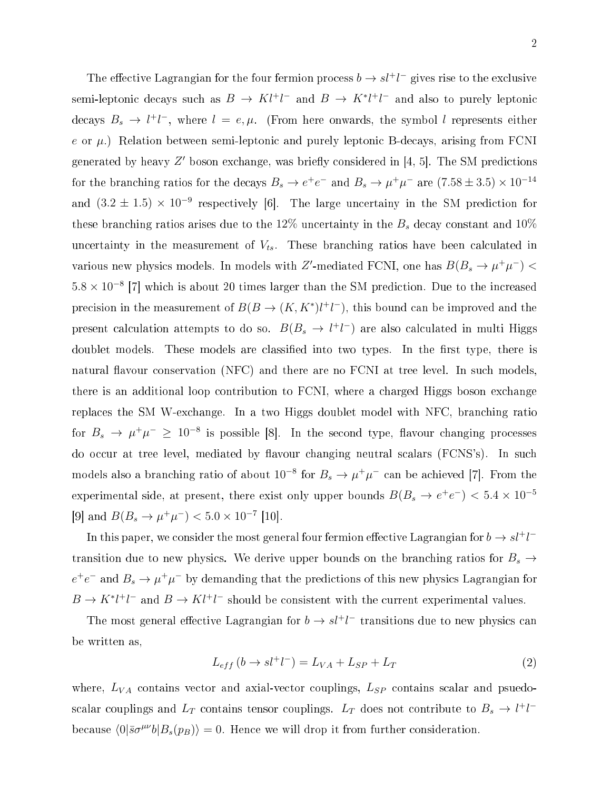The effective Lagrangian for the four fermion process  $b \to s l^+ l^-$  gives rise to the exclusive semi-leptonic decays such as  $B \to K l^+ l^-$  and  $B \to K^* l^+ l^-$  and also to purely leptonic decays  $B_s \to l^+l^-$ , where  $l = e, \mu$ . (From here onwards, the symbol l represents either e or  $\mu$ .) Relation between semi-leptonic and purely leptonic B-decays, arising from FCNI generated by heavy  $Z'$  boson exchange, was briefly considered in [4, 5]. The SM predictions for the branching ratios for the decays  $B_s \to e^+e^-$  and  $B_s \to \mu^+\mu^-$  are  $(7.58 \pm 3.5) \times 10^{-14}$ and  $(3.2 \pm 1.5) \times 10^{-9}$  respectively [6]. The large uncertainy in the SM prediction for these branching ratios arises due to the 12% uncertainty in the  $B_s$  decay constant and 10% uncertainty in the measurement of  $V_{ts}$ . These branching ratios have been calculated in various new physics models. In models with Z'-mediated FCNI, one has  $B(B_s \to \mu^+ \mu^-)$  <  $5.8 \times 10^{-8}$  [7] which is about 20 times larger than the SM prediction. Due to the increased precision in the measurement of  $B(B \to (K, K^*)l^+l^-)$ , this bound can be improved and the present calculation attempts to do so.  $B(B_s \to l^+l^-)$  are also calculated in multi Higgs doublet models. These models are classified into two types. In the first type, there is natural flavour conservation (NFC) and there are no FCNI at tree level. In such models, there is an additional loop ontribution to FCNI, where <sup>a</sup> harged Higgs boson ex
hange replaces the SM W-exchange. In a two Higgs doublet model with NFC, branching ratio for  $B_s \to \mu^+\mu^- \geq 10^{-8}$  is possible [8]. In the second type, flavour changing processes do occur at tree level, mediated by flavour changing neutral scalars (FCNS's). In such models also a branching ratio of about  $10^{-8}$  for  $B_s \to \mu^+\mu^-$  can be achieved [7]. From the experimental side, at present, there exist only upper bounds  $B(B_s \to e^+e^-) < 5.4 \times 10^{-5}$ [9] and  $B(B_s \to \mu^+\mu^-) < 5.0 \times 10^{-7}$  [10].

In this paper, we consider the most general four fermion effective Lagrangian for  $b \to s l^+ l^$ transition due to new physics. We derive upper bounds on the branching ratios for  $B_s \rightarrow$  $e^+e^-$  and  $B_s \to \mu^+\mu^-$  by demanding that the predictions of this new physics Lagrangian for  $B \to K^* l^+ l^-$  and  $B \to K l^+ l^-$  should be consistent with the current experimental values.

The most general effective Lagrangian for  $b \to s l^+ l^-$  transitions due to new physics can be written as,

$$
L_{eff} (b \to s l^+ l^-) = L_{VA} + L_{SP} + L_T \tag{2}
$$

where,  $L_{VA}$  contains vector and axial-vector couplings,  $L_{SP}$  contains scalar and psuedoscalar couplings and  $L_T$  contains tensor couplings.  $L_T$  does not contribute to  $B_s \to l^+l^$ because  $\langle 0|\bar{s}\sigma^{\mu\nu}b|B_s(p_B)\rangle = 0$ . Hence we will drop it from further consideration.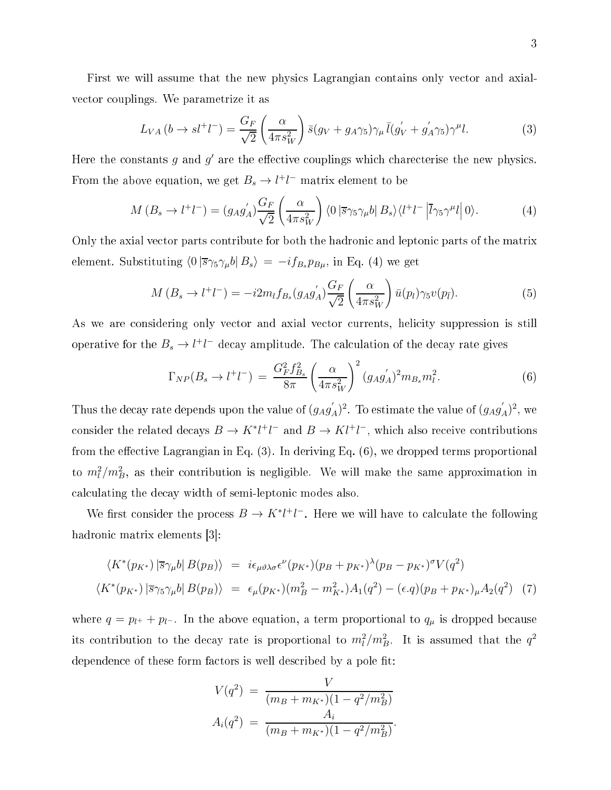First we will assume that the new physics Lagrangian contains only vector and axialve
tor ouplings. We parametrize it as

$$
L_{VA}(b \to sl^+l^-) = \frac{G_F}{\sqrt{2}} \left(\frac{\alpha}{4\pi s_W^2}\right) \bar{s}(g_V + g_A \gamma_5) \gamma_\mu \bar{l}(g_V' + g_A' \gamma_5) \gamma^\mu l. \tag{3}
$$

Here the constants  $g$  and  $g'$  are the effective couplings which charecterise the new physics. From the above equation, we get  $B_s \to l^+l^-$  matrix element to be

$$
M(B_s \to l^+l^-) = (g_A g'_A) \frac{G_F}{\sqrt{2}} \left(\frac{\alpha}{4\pi s_W^2}\right) \langle 0 \left| \overline{s} \gamma_5 \gamma_\mu b \right| B_s \rangle \langle l^+l^- \left| \overline{l} \gamma_5 \gamma^\mu l \right| 0 \rangle. \tag{4}
$$

Only the axial vector parts contribute for both the hadronic and leptonic parts of the matrix element. Substituting  $\langle 0 | \overline{s}\gamma_5\gamma_\mu b | B_s \rangle = -i f_{B_s} p_{B\mu}$ , in Eq. (4) we get

$$
M(B_s \to l^+l^-) = -i2m_l f_{B_s}(g_A g'_A) \frac{G_F}{\sqrt{2}} \left(\frac{\alpha}{4\pi s_W^2}\right) \bar{u}(p_l) \gamma_5 v(p_{\bar{l}}). \tag{5}
$$

As we are considering only vector and axial vector currents, helicity suppression is still operative for the  $B_s \to l^+l^-$  decay amplitude. The calculation of the decay rate gives

$$
\Gamma_{NP}(B_s \to l^+l^-) = \frac{G_F^2 f_{Bs}^2}{8\pi} \left(\frac{\alpha}{4\pi s_W^2}\right)^2 (g_A g_A')^2 m_{Bs} m_l^2.
$$
 (6)

Thus the decay rate depends upon the value of  $(g_Ag_A')^2$ . To estimate the value of  $(g_Ag_A')^2$ , we consider the related decays  $B \to K^* l^+ l^-$  and  $B \to K l^+ l^-$ , which also receive contributions from the effective Lagrangian in Eq.  $(3)$ . In deriving Eq.  $(6)$ , we dropped terms proportional to  $m_l^2/m_B^2$ , as their contribution is negligible. We will make the same approximation in al
ulating the de
ay width of semi-leptoni modes also.

We first consider the process  $B \to K^* l^+ l^-$ . Here we will have to calculate the following hadronic matrix elements [3]:

$$
\langle K^*(p_{K^*}) | \overline{s} \gamma_\mu b | B(p_B) \rangle = i \epsilon_{\mu \vartheta \lambda \sigma} \epsilon^{\nu} (p_{K^*}) (p_B + p_{K^*})^{\lambda} (p_B - p_{K^*})^{\sigma} V(q^2)
$$
  

$$
\langle K^*(p_{K^*}) | \overline{s} \gamma_5 \gamma_\mu b | B(p_B) \rangle = \epsilon_{\mu} (p_{K^*}) (m_B^2 - m_{K^*}^2) A_1(q^2) - (\epsilon \cdot q) (p_B + p_{K^*})_{\mu} A_2(q^2) \tag{7}
$$

where  $q = p_{l^+} + p_{l^-}$ . In the above equation, a term proportional to  $q_\mu$  is dropped because its contribution to the decay rate is proportional to  $m_l^2/m_B^2$ . It is assumed that the  $q^2$ dependence of these form factors is well described by a pole fit:

$$
V(q^2) = \frac{V}{(m_B + m_{K^*})(1 - q^2/m_B^2)}
$$
  
\n
$$
A_i(q^2) = \frac{A_i}{(m_B + m_{K^*})(1 - q^2/m_B^2)}
$$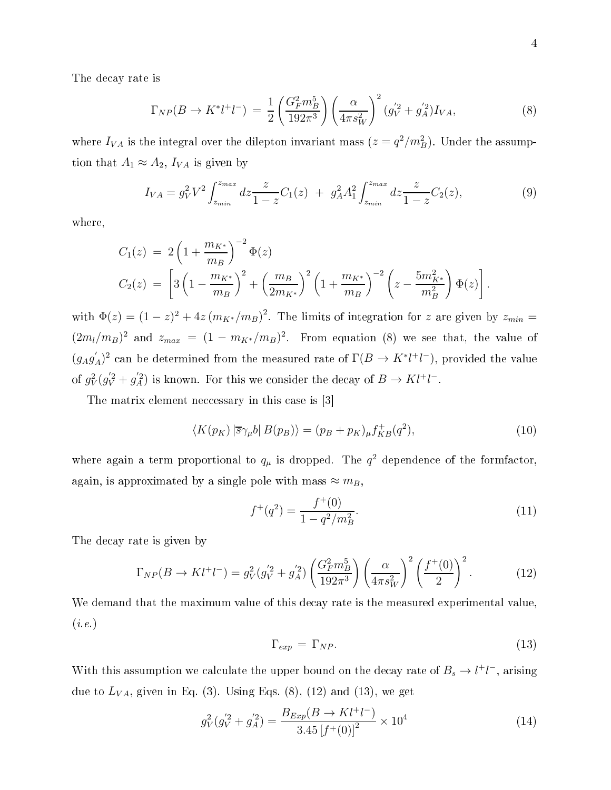The de
ay rate is

$$
\Gamma_{NP}(B \to K^* l^+ l^-) = \frac{1}{2} \left( \frac{G_F^2 m_B^5}{192\pi^3} \right) \left( \frac{\alpha}{4\pi s_W^2} \right)^2 (g_V^{'2} + g_A^{'2}) I_{VA}, \tag{8}
$$

where  $I_{VA}$  is the integral over the dilepton invariant mass  $(z = q^2/m_B^2)$ . Under the assumption that  $A_1 \approx A_2$ ,  $I_{VA}$  is given by

$$
I_{VA} = g_V^2 V^2 \int_{z_{min}}^{z_{max}} dz \frac{z}{1 - z} C_1(z) + g_A^2 A_1^2 \int_{z_{min}}^{z_{max}} dz \frac{z}{1 - z} C_2(z), \tag{9}
$$

where,

$$
C_1(z) = 2\left(1 + \frac{m_{K^*}}{m_B}\right)^{-2} \Phi(z)
$$
  
\n
$$
C_2(z) = \left[3\left(1 - \frac{m_{K^*}}{m_B}\right)^2 + \left(\frac{m_B}{2m_{K^*}}\right)^2 \left(1 + \frac{m_{K^*}}{m_B}\right)^{-2} \left(z - \frac{5m_{K^*}^2}{m_B^2}\right) \Phi(z)\right].
$$

with  $\Phi(z) = (1-z)^2 + 4z (m_{K^*}/m_B)^2$ . The limits of integration for z are given by  $z_{min} =$  $(2m_l/m_B)^2$  and  $z_{max} = (1 - m_{K^*}/m_B)^2$ . From equation (8) we see that, the value of  $(g_A g'_A)^2$  can be determined from the measured rate of  $\Gamma(B \to K^* l^+ l^-)$ , provided the value of  $g_V^2$  $\frac{2}{V}(g_V^{'2} + g_A^{'2})$  is known. For this we consider the decay of  $B \to Kl^+l^-$ .

The matrix element necessary in this case is [3]

$$
\langle K(p_K) | \overline{s} \gamma_\mu b | B(p_B) \rangle = (p_B + p_K)_\mu f_{KB}^+(q^2), \tag{10}
$$

where again a term proportional to  $q_{\mu}$  is dropped. The  $q^2$  dependence of the formfactor, again, is approximated by a single pole with mass  $\approx m_B$ 

$$
f^+(q^2) = \frac{f^+(0)}{1 - q^2/m_B^2}.\tag{11}
$$

The de
ay rate is given by

$$
\Gamma_{NP}(B \to K l^+ l^-) = g_V^2 (g_V^{'2} + g_A^{'2}) \left(\frac{G_F^2 m_B^5}{192\pi^3}\right) \left(\frac{\alpha}{4\pi s_W^2}\right)^2 \left(\frac{f^+(0)}{2}\right)^2.
$$
 (12)

We demand that the maximum value of this decay rate is the measured experimental value.  $(i.e.)$ 

$$
\Gamma_{exp} = \Gamma_{NP}.\tag{13}
$$

With this assumption we calculate the upper bound on the decay rate of  $B_s \to l^+l^-$ , arising due to  $L_{VA}$ , given in Eq. (3). Using Eqs. (8), (12) and (13), we get

$$
g_V^2(g_V^{'2} + g_A^{'2}) = \frac{B_{Exp}(B \to K l^+ l^-)}{3.45 \left[f^+(0)\right]^2} \times 10^4 \tag{14}
$$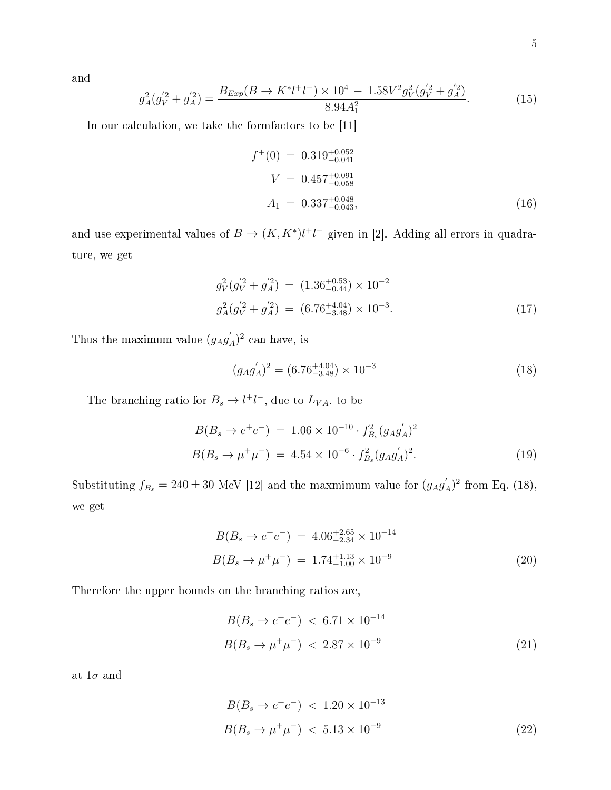and

$$
g_A^2(g_V^{'2} + g_A^{'2}) = \frac{B_{Exp}(B \to K^* l^+ l^-) \times 10^4 - 1.58 V^2 g_V^2 (g_V^{'2} + g_A^{'2})}{8.94 A_1^2}.
$$
 (15)

In our calculation, we take the formfactors to be  $[11]$ 

$$
f^{+}(0) = 0.319_{-0.041}^{+0.052}
$$
  
\n
$$
V = 0.457_{-0.058}^{+0.091}
$$
  
\n
$$
A_1 = 0.337_{-0.043}^{+0.048},
$$
\n(16)

and use experimental values of  $B \to (K, K^*)l^+l^-$  given in [2]. Adding all errors in quadrature, we get

$$
g_V^2(g_V^{'2} + g_A^{'2}) = (1.36^{+0.53}_{-0.44}) \times 10^{-2}
$$
  

$$
g_A^2(g_V^{'2} + g_A^{'2}) = (6.76^{+4.04}_{-3.48}) \times 10^{-3}.
$$
 (17)

Thus the maximum value  $(g_A g'_A)^2$  can have, is

$$
(g_A g'_A)^2 = (6.76^{+4.04}_{-3.48}) \times 10^{-3}
$$
 (18)

The branching ratio for  $B_s \to l^+l^-$ , due to  $L_{VA}$ , to be

$$
B(B_s \to e^+e^-) = 1.06 \times 10^{-10} \cdot f_{B_s}^2 (g_A g_A')^2
$$
  

$$
B(B_s \to \mu^+\mu^-) = 4.54 \times 10^{-6} \cdot f_{B_s}^2 (g_A g_A')^2.
$$
 (19)

Substituting  $f_{B_s} = 240 \pm 30$  MeV [12] and the maxmimum value for  $(g_A g'_A)^2$  from Eq. (18), we get

$$
B(B_s \to e^+e^-) = 4.06^{+2.65}_{-2.34} \times 10^{-14}
$$
  

$$
B(B_s \to \mu^+\mu^-) = 1.74^{+1.13}_{-1.00} \times 10^{-9}
$$
 (20)

Therefore the upper bounds on the bran
hing ratios are,

$$
B(B_s \to e^+e^-) < 6.71 \times 10^{-14}
$$
\n
$$
B(B_s \to \mu^+\mu^-) < 2.87 \times 10^{-9} \tag{21}
$$

at  $1\sigma$  and

$$
B(B_s \to e^+e^-) < 1.20 \times 10^{-13}
$$
\n
$$
B(B_s \to \mu^+\mu^-) < 5.13 \times 10^{-9}
$$
\n
$$
\tag{22}
$$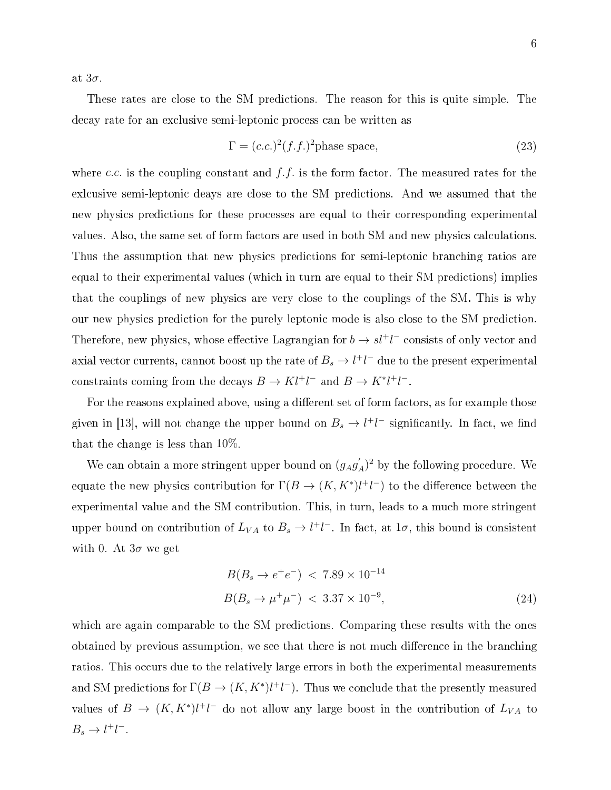at  $3\sigma$ .

These rates are close to the SM predictions. The reason for this is quite simple. The decay rate for an exclusive semi-leptonic process can be written as

$$
\Gamma = (c.c.)^2 (f.f.)^2 \text{phase space},\tag{23}
$$

where c.c. is the coupling constant and  $f.f.$  is the form factor. The measured rates for the exicusive semi-leptonic deays are close to the SM predictions. And we assumed that the new physics predictions for these processes are equal to their corresponding experimental values. Also, the same set of form factors are used in both SM and new physics calculations. Thus the assumption that new physics predictions for semi-leptonic branching ratios are equal to their experimental values (which in turn are equal to their SM predictions) implies that the ouplings of new physi
s are very lose to the ouplings of the SM. This is why our new physics prediction for the purely leptonic mode is also close to the SM prediction. Therefore, new physics, whose effective Lagrangian for  $b \to s l^+ l^-$  consists of only vector and axial vector currents, cannot boost up the rate of  $B_s \to l^+ l^-$  due to the present experimental constraints coming from the decays  $B \to K l^+ l^-$  and  $B \to K^* l^+ l^-$ .

For the reasons explained above, using a different set of form factors, as for example those given in [13], will not change the upper bound on  $B_s \to l^+l^-$  significantly. In fact, we find that the hange is less than 10%.

We can obtain a more stringent upper bound on  $(g_A g'_A)^2$  by the following procedure. We equate the new physics contribution for  $\Gamma(B \to (K,K^*)l^+l^-)$  to the difference between the experimental value and the SM ontribution. This, in turn, leads to a mu
h more stringent upper bound on contribution of  $L_{VA}$  to  $B_s \to l^+l^-$ . In fact, at  $1\sigma$ , this bound is consistent with 0. At  $3\sigma$  we get

$$
B(B_s \to e^+e^-) < 7.89 \times 10^{-14}
$$
\n
$$
B(B_s \to \mu^+\mu^-) < 3.37 \times 10^{-9},\tag{24}
$$

which are again comparable to the SM predictions. Comparing these results with the ones obtained by previous assumption, we see that there is not much difference in the branching ration. This occurs due to the relatively large errors in both the experimental measurements and SM predictions for  $\Gamma(B \to (K, K^*)l^+l^-)$ . Thus we conclude that the presently measured values of  $B \to (K, K^*)$  $l^+l^-$  do not allow any large boost in the contribution of  $L_{VA}$  to  $B_s \to l^+l^-$ .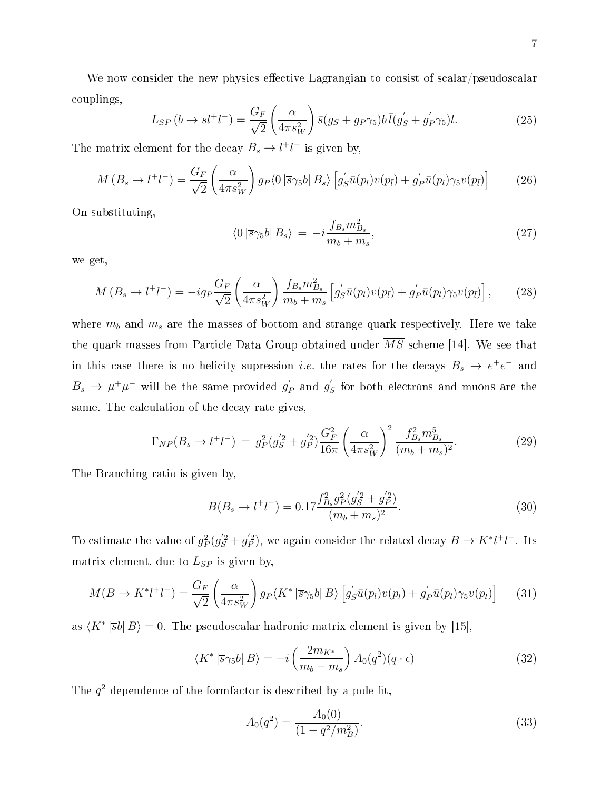We now consider the new physics effective Lagrangian to consist of scalar/pseudoscalar ouplings,

$$
L_{SP}\left(b \to sl^{+}l^{-}\right) = \frac{G_F}{\sqrt{2}} \left(\frac{\alpha}{4\pi s_W^2}\right) \bar{s}(g_S + g_P \gamma_5) b \bar{l}(g_S' + g_P' \gamma_5) l. \tag{25}
$$

The matrix element for the decay  $B_s \to l^+l^-$  is given by,

$$
M(B_s \to l^+l^-) = \frac{G_F}{\sqrt{2}} \left( \frac{\alpha}{4\pi s_W^2} \right) g_P \langle 0 \left| \overline{s} \gamma_5 b \right| B_s \rangle \left[ g'_S \bar{u}(p_l) v(p_{\bar{l}}) + g'_P \bar{u}(p_l) \gamma_5 v(p_{\bar{l}}) \right]
$$
(26)

On substituting,

$$
\langle 0 \left| \overline{s} \gamma_5 b \right| B_s \rangle = -i \frac{f_{B_s} m_{B_s}^2}{m_b + m_s},\tag{27}
$$

we get,

$$
M\left(B_s \to l^+l^-\right) = -ig_P \frac{G_F}{\sqrt{2}} \left(\frac{\alpha}{4\pi s_W^2}\right) \frac{f_{B_s} m_{B_s}^2}{m_b + m_s} \left[g'_S \bar{u}(p_l) v(p_{\bar{l}}) + g'_P \bar{u}(p_l) \gamma_5 v(p_{\bar{l}})\right],\tag{28}
$$

where  $m_b$  and  $m_s$  are the masses of bottom and strange quark respectively. Here we take the quark masses from Particle Data Group obtained under  $\overline{MS}$  scheme [14]. We see that in this case there is no helicity supression *i.e.* the rates for the decays  $B_s \to e^+e^-$  and  $B_s \to \mu^+ \mu^-$  will be the same provided  $g'_1$  $'_{P}$  and  $g'_{g}$  $S$  for both electrons and muons are the same. The calculation of the decay rate gives,

$$
\Gamma_{NP}(B_s \to l^+l^-) = g_P^2(g_S^{'2} + g_P^{'2}) \frac{G_F^2}{16\pi} \left(\frac{\alpha}{4\pi s_W^2}\right)^2 \frac{f_{B_s}^2 m_{B_s}^5}{(m_b + m_s)^2}.
$$
\n(29)

The Bran
hing ratio is given by,

$$
B(B_s \to l^+l^-) = 0.17 \frac{f_{B_s}^2 g_P^2 (g_S^{'2} + g_P^{'2})}{(m_b + m_s)^2}.
$$
\n(30)

To estimate the value of  $g_F^2$  $^{2}_{P}(g'_{S}^{2}+g'_{P}^{2})$  $P_P^{(2)}$ , we again consider the related decay  $B \to K^* l^+ l^-$ . Its matrix element, due to  $L_{SP}$  is given by,

$$
M(B \to K^* l^+ l^-) = \frac{G_F}{\sqrt{2}} \left( \frac{\alpha}{4\pi s_W^2} \right) g_P \langle K^* \left| \overline{s} \gamma_5 b \right| B \rangle \left[ g'_S \bar{u}(p_l) v(p_{\bar{l}}) + g'_P \bar{u}(p_l) \gamma_5 v(p_{\bar{l}}) \right] \tag{31}
$$

as  $\langle K^* |\overline{s}b| B \rangle = 0$ . The pseudoscalar hadronic matrix element is given by [15],

$$
\langle K^* \left| \overline{s} \gamma_5 b \right| B \rangle = -i \left( \frac{2m_{K^*}}{m_b - m_s} \right) A_0(q^2) (q \cdot \epsilon) \tag{32}
$$

The  $q^2$  dependence of the formfactor is described by a pole fit,

$$
A_0(q^2) = \frac{A_0(0)}{(1 - q^2/m_B^2)}.\t(33)
$$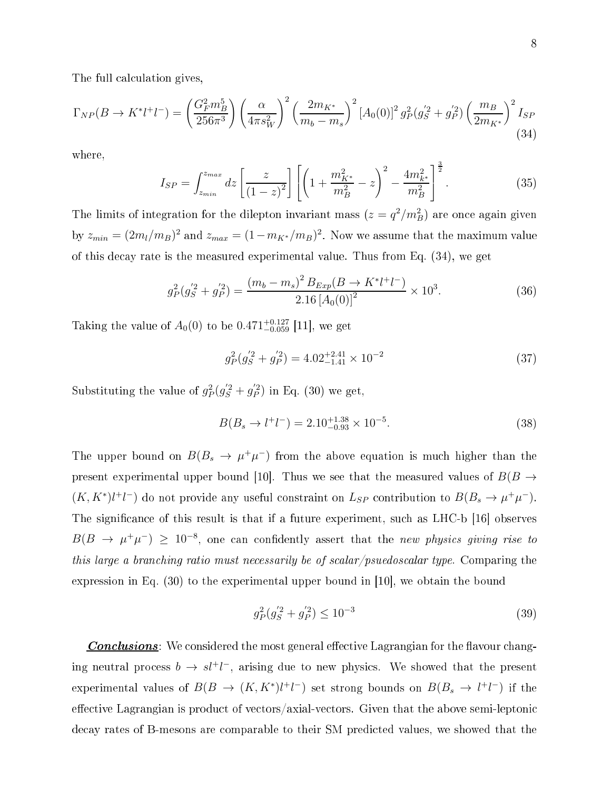The full calculation gives,

$$
\Gamma_{NP}(B \to K^* l^+ l^-) = \left(\frac{G_F^2 m_B^5}{256\pi^3}\right) \left(\frac{\alpha}{4\pi s_W^2}\right)^2 \left(\frac{2m_{K^*}}{m_b - m_s}\right)^2 \left[A_0(0)\right]^2 g_P^2(g_S^{'2} + g_P^{'2}) \left(\frac{m_B}{2m_{K^*}}\right)^2 I_{SP}
$$
\n(34)

where,

$$
I_{SP} = \int_{z_{min}}^{z_{max}} dz \left[ \frac{z}{(1-z)^2} \right] \left[ \left( 1 + \frac{m_{K^*}^2}{m_B^2} - z \right)^2 - \frac{4m_{K^*}^2}{m_B^2} \right]^{\frac{3}{2}}.
$$
 (35)

The limits of integration for the dilepton invariant mass  $(z = q^2/m_B^2)$  are once again given by  $z_{min} = (2m_l/m_B)^2$  and  $z_{max} = (1 - m_{K^*}/m_B)^2$ . Now we assume that the maximum value of this de
ay rate is the measured experimental value. Thus from Eq. (34), we get

$$
g_P^2(g_S^{'2} + g_P^{'2}) = \frac{(m_b - m_s)^2 B_{Exp}(B \to K^* l^+ l^-)}{2.16 [A_0(0)]^2} \times 10^3. \tag{36}
$$

Taking the value of  $A_0(0)$  to be  $0.471^{+0.127}_{-0.059}$  [11], we get

$$
g_P^2(g_S^{'2} + g_P^{'2}) = 4.02^{+2.41}_{-1.41} \times 10^{-2}
$$
\n(37)

Substituting the value of  $g_F^2$  $^{2}_{P}(g'_{S}^{2}+g'_{P}^{2})$  $p_P^{(2)}$  in Eq. (30) we get,

$$
B(B_s \to l^+l^-) = 2.10^{+1.38}_{-0.93} \times 10^{-5}.
$$
\n(38)

The upper bound on  $B(B_s \to \mu^+\mu^-)$  from the above equation is much higher than the present experimental upper bound [10]. Thus we see that the measured values of  $B(B \to$  $(K, K^*)l^+l^-$  do not provide any useful constraint on  $L_{SP}$  contribution to  $B(B_s \to \mu^+\mu^-)$ . The significance of this result is that if a future experiment, such as LHC-b [16] observes  $B(B \to \mu^+ \mu^-) \geq 10^{-8}$ , one can confidently assert that the new physics giving rise to this large a branching ratio must necessarily be of scalar/psuedoscalar type. Comparing the expression in Eq.  $(30)$  to the experimental upper bound in [10], we obtain the bound

$$
g_P^2(g_S^{'2} + g_P^{'2}) \le 10^{-3} \tag{39}
$$

**Conclusions**: We considered the most general effective Lagrangian for the flavour changing neutral process  $b \to s l^+ l^-$ , arising due to new physics. We showed that the present experimental values of  $B(B \to (K, K^*)l^+l^-)$  set strong bounds on  $B(B_s \to l^+l^-)$  if the effective Lagrangian is product of vectors/axial-vectors. Given that the above semi-leptonic decay rates of B-mesons are comparable to their SM predicted values, we showed that the